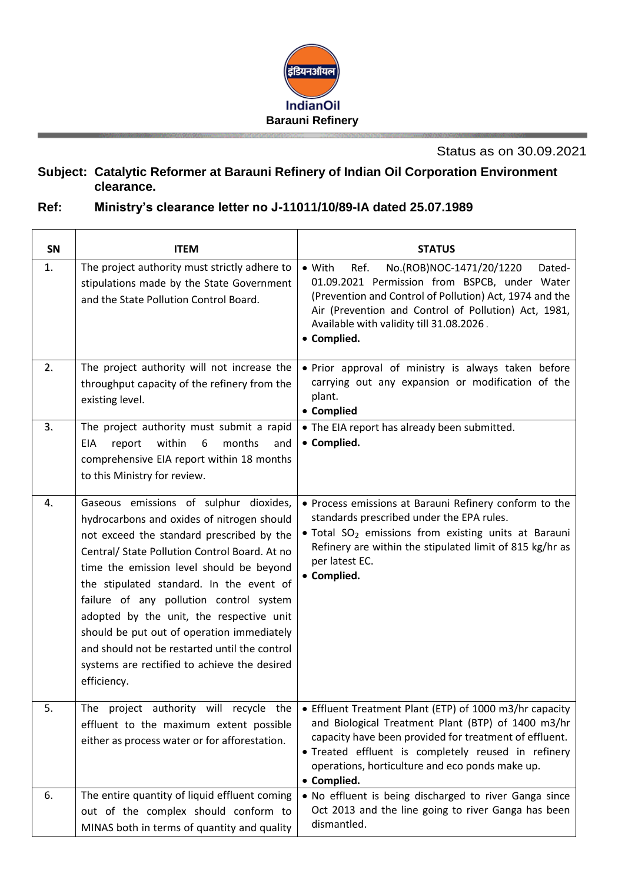

Status as on 30.09.2021

## **Subject: Catalytic Reformer at Barauni Refinery of Indian Oil Corporation Environment clearance.**

## **Ref: Ministry's clearance letter no J-11011/10/89-IA dated 25.07.1989**

| SN | <b>ITEM</b>                                                                                                                                                                                                                                                                                                                                                                                                                                                                                                                     | <b>STATUS</b>                                                                                                                                                                                                                                                                                    |
|----|---------------------------------------------------------------------------------------------------------------------------------------------------------------------------------------------------------------------------------------------------------------------------------------------------------------------------------------------------------------------------------------------------------------------------------------------------------------------------------------------------------------------------------|--------------------------------------------------------------------------------------------------------------------------------------------------------------------------------------------------------------------------------------------------------------------------------------------------|
| 1. | The project authority must strictly adhere to<br>stipulations made by the State Government<br>and the State Pollution Control Board.                                                                                                                                                                                                                                                                                                                                                                                            | Ref.<br>No.(ROB)NOC-1471/20/1220<br>$\bullet$ With<br>Dated-<br>01.09.2021 Permission from BSPCB, under Water<br>(Prevention and Control of Pollution) Act, 1974 and the<br>Air (Prevention and Control of Pollution) Act, 1981,<br>Available with validity till 31.08.2026.<br>• Complied.      |
| 2. | The project authority will not increase the<br>throughput capacity of the refinery from the<br>existing level.                                                                                                                                                                                                                                                                                                                                                                                                                  | . Prior approval of ministry is always taken before<br>carrying out any expansion or modification of the<br>plant.<br>• Complied                                                                                                                                                                 |
| 3. | The project authority must submit a rapid<br>within<br>6<br>months<br>EIA<br>report<br>and<br>comprehensive EIA report within 18 months<br>to this Ministry for review.                                                                                                                                                                                                                                                                                                                                                         | • The EIA report has already been submitted.<br>• Complied.                                                                                                                                                                                                                                      |
| 4. | Gaseous emissions of sulphur dioxides,<br>hydrocarbons and oxides of nitrogen should<br>not exceed the standard prescribed by the<br>Central/ State Pollution Control Board. At no<br>time the emission level should be beyond<br>the stipulated standard. In the event of<br>failure of any pollution control system<br>adopted by the unit, the respective unit<br>should be put out of operation immediately<br>and should not be restarted until the control<br>systems are rectified to achieve the desired<br>efficiency. | • Process emissions at Barauni Refinery conform to the<br>standards prescribed under the EPA rules.<br>. Total SO <sub>2</sub> emissions from existing units at Barauni<br>Refinery are within the stipulated limit of 815 kg/hr as<br>per latest EC.<br>• Complied.                             |
| 5. | The project authority will recycle the<br>effluent to the maximum extent possible<br>either as process water or for afforestation.                                                                                                                                                                                                                                                                                                                                                                                              | • Effluent Treatment Plant (ETP) of 1000 m3/hr capacity<br>and Biological Treatment Plant (BTP) of 1400 m3/hr<br>capacity have been provided for treatment of effluent.<br>· Treated effluent is completely reused in refinery<br>operations, horticulture and eco ponds make up.<br>• Complied. |
| 6. | The entire quantity of liquid effluent coming<br>out of the complex should conform to<br>MINAS both in terms of quantity and quality                                                                                                                                                                                                                                                                                                                                                                                            | . No effluent is being discharged to river Ganga since<br>Oct 2013 and the line going to river Ganga has been<br>dismantled.                                                                                                                                                                     |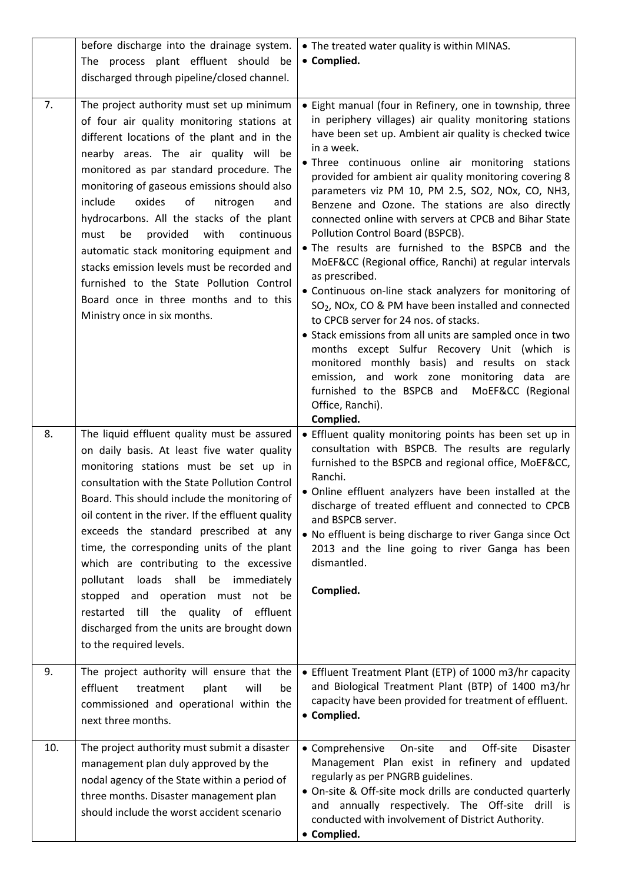|     | before discharge into the drainage system.                                                                                                                                                                                                                                                                                                                                                                                                                                                                                                                                                                                                        | • The treated water quality is within MINAS.                                                                                                                                                                                                                                                                                                                                                                                                                                                                                                                                                                                                                                                                                                                                                                                                                                                                                                                                                                                                                                                                           |
|-----|---------------------------------------------------------------------------------------------------------------------------------------------------------------------------------------------------------------------------------------------------------------------------------------------------------------------------------------------------------------------------------------------------------------------------------------------------------------------------------------------------------------------------------------------------------------------------------------------------------------------------------------------------|------------------------------------------------------------------------------------------------------------------------------------------------------------------------------------------------------------------------------------------------------------------------------------------------------------------------------------------------------------------------------------------------------------------------------------------------------------------------------------------------------------------------------------------------------------------------------------------------------------------------------------------------------------------------------------------------------------------------------------------------------------------------------------------------------------------------------------------------------------------------------------------------------------------------------------------------------------------------------------------------------------------------------------------------------------------------------------------------------------------------|
|     | The process plant effluent should be<br>discharged through pipeline/closed channel.                                                                                                                                                                                                                                                                                                                                                                                                                                                                                                                                                               | • Complied.                                                                                                                                                                                                                                                                                                                                                                                                                                                                                                                                                                                                                                                                                                                                                                                                                                                                                                                                                                                                                                                                                                            |
| 7.  | The project authority must set up minimum<br>of four air quality monitoring stations at<br>different locations of the plant and in the<br>nearby areas. The air quality will be<br>monitored as par standard procedure. The<br>monitoring of gaseous emissions should also<br>include<br>oxides<br>of<br>nitrogen<br>and<br>hydrocarbons. All the stacks of the plant<br>with<br>continuous<br>be<br>provided<br>must<br>automatic stack monitoring equipment and<br>stacks emission levels must be recorded and<br>furnished to the State Pollution Control<br>Board once in three months and to this<br>Ministry once in six months.            | • Eight manual (four in Refinery, one in township, three<br>in periphery villages) air quality monitoring stations<br>have been set up. Ambient air quality is checked twice<br>in a week.<br>. Three continuous online air monitoring stations<br>provided for ambient air quality monitoring covering 8<br>parameters viz PM 10, PM 2.5, SO2, NOx, CO, NH3,<br>Benzene and Ozone. The stations are also directly<br>connected online with servers at CPCB and Bihar State<br>Pollution Control Board (BSPCB).<br>. The results are furnished to the BSPCB and the<br>MoEF&CC (Regional office, Ranchi) at regular intervals<br>as prescribed.<br>• Continuous on-line stack analyzers for monitoring of<br>SO <sub>2</sub> , NOx, CO & PM have been installed and connected<br>to CPCB server for 24 nos. of stacks.<br>• Stack emissions from all units are sampled once in two<br>months except Sulfur Recovery Unit (which is<br>monitored monthly basis) and results on stack<br>emission, and work zone monitoring data are<br>furnished to the BSPCB and<br>MoEF&CC (Regional<br>Office, Ranchi).<br>Complied. |
| 8.  | The liquid effluent quality must be assured<br>on daily basis. At least five water quality<br>monitoring stations must be set up in<br>consultation with the State Pollution Control<br>Board. This should include the monitoring of<br>oil content in the river. If the effluent quality<br>exceeds the standard prescribed at any<br>time, the corresponding units of the plant<br>which are contributing to the excessive<br>loads shall<br>be immediately<br>pollutant<br>operation must not be<br>stopped and<br>till<br>the<br>quality of<br>effluent<br>restarted<br>discharged from the units are brought down<br>to the required levels. | • Effluent quality monitoring points has been set up in<br>consultation with BSPCB. The results are regularly<br>furnished to the BSPCB and regional office, MoEF&CC,<br>Ranchi.<br>• Online effluent analyzers have been installed at the<br>discharge of treated effluent and connected to CPCB<br>and BSPCB server.<br>. No effluent is being discharge to river Ganga since Oct<br>2013 and the line going to river Ganga has been<br>dismantled.<br>Complied.                                                                                                                                                                                                                                                                                                                                                                                                                                                                                                                                                                                                                                                     |
| 9.  | The project authority will ensure that the<br>effluent<br>treatment<br>will<br>plant<br>be<br>commissioned and operational within the<br>next three months.                                                                                                                                                                                                                                                                                                                                                                                                                                                                                       | • Effluent Treatment Plant (ETP) of 1000 m3/hr capacity<br>and Biological Treatment Plant (BTP) of 1400 m3/hr<br>capacity have been provided for treatment of effluent.<br>• Complied.                                                                                                                                                                                                                                                                                                                                                                                                                                                                                                                                                                                                                                                                                                                                                                                                                                                                                                                                 |
| 10. | The project authority must submit a disaster<br>management plan duly approved by the<br>nodal agency of the State within a period of<br>three months. Disaster management plan<br>should include the worst accident scenario                                                                                                                                                                                                                                                                                                                                                                                                                      | • Comprehensive<br>On-site<br>Off-site<br>and<br><b>Disaster</b><br>Management Plan exist in refinery and<br>updated<br>regularly as per PNGRB guidelines.<br>• On-site & Off-site mock drills are conducted quarterly<br>and annually respectively. The Off-site drill is<br>conducted with involvement of District Authority.<br>• Complied.                                                                                                                                                                                                                                                                                                                                                                                                                                                                                                                                                                                                                                                                                                                                                                         |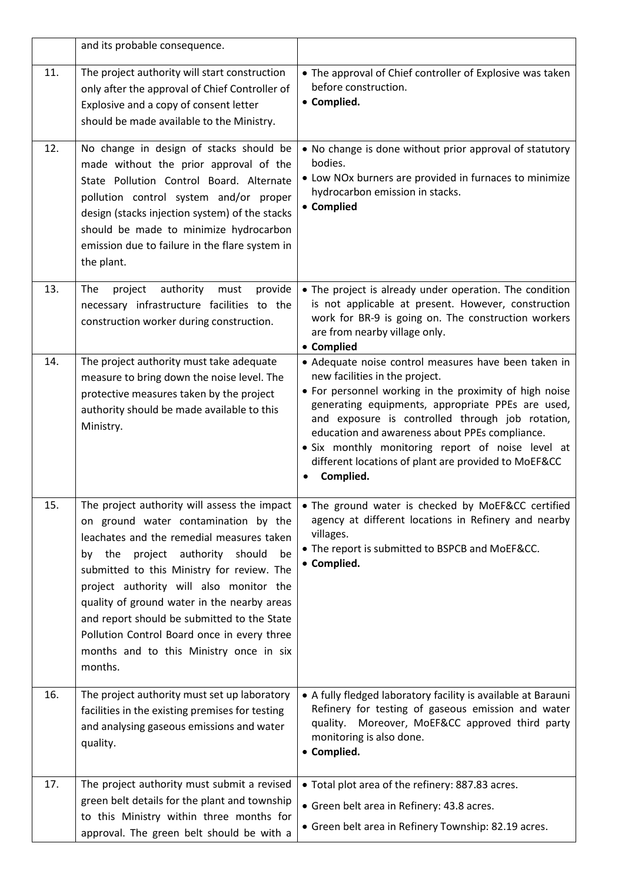|     | and its probable consequence.                                                                                                                                                                                                                                                                                                                                                                                                                                          |                                                                                                                                                                                                                                                                                                                                                                                                                                       |
|-----|------------------------------------------------------------------------------------------------------------------------------------------------------------------------------------------------------------------------------------------------------------------------------------------------------------------------------------------------------------------------------------------------------------------------------------------------------------------------|---------------------------------------------------------------------------------------------------------------------------------------------------------------------------------------------------------------------------------------------------------------------------------------------------------------------------------------------------------------------------------------------------------------------------------------|
| 11. | The project authority will start construction<br>only after the approval of Chief Controller of<br>Explosive and a copy of consent letter<br>should be made available to the Ministry.                                                                                                                                                                                                                                                                                 | • The approval of Chief controller of Explosive was taken<br>before construction.<br>• Complied.                                                                                                                                                                                                                                                                                                                                      |
| 12. | No change in design of stacks should be<br>made without the prior approval of the<br>State Pollution Control Board. Alternate<br>pollution control system and/or proper<br>design (stacks injection system) of the stacks<br>should be made to minimize hydrocarbon<br>emission due to failure in the flare system in<br>the plant.                                                                                                                                    | . No change is done without prior approval of statutory<br>bodies.<br>• Low NOx burners are provided in furnaces to minimize<br>hydrocarbon emission in stacks.<br>• Complied                                                                                                                                                                                                                                                         |
| 13. | provide<br>The<br>project<br>authority<br>must<br>necessary infrastructure facilities to the<br>construction worker during construction.                                                                                                                                                                                                                                                                                                                               | • The project is already under operation. The condition<br>is not applicable at present. However, construction<br>work for BR-9 is going on. The construction workers<br>are from nearby village only.<br>• Complied                                                                                                                                                                                                                  |
| 14. | The project authority must take adequate<br>measure to bring down the noise level. The<br>protective measures taken by the project<br>authority should be made available to this<br>Ministry.                                                                                                                                                                                                                                                                          | • Adequate noise control measures have been taken in<br>new facilities in the project.<br>• For personnel working in the proximity of high noise<br>generating equipments, appropriate PPEs are used,<br>and exposure is controlled through job rotation,<br>education and awareness about PPEs compliance.<br>• Six monthly monitoring report of noise level at<br>different locations of plant are provided to MoEF&CC<br>Complied. |
| 15. | The project authority will assess the impact<br>on ground water contamination by the<br>leachates and the remedial measures taken<br>by the project authority should<br>be<br>submitted to this Ministry for review. The<br>project authority will also monitor the<br>quality of ground water in the nearby areas<br>and report should be submitted to the State<br>Pollution Control Board once in every three<br>months and to this Ministry once in six<br>months. | • The ground water is checked by MoEF&CC certified<br>agency at different locations in Refinery and nearby<br>villages.<br>• The report is submitted to BSPCB and MoEF&CC.<br>• Complied.                                                                                                                                                                                                                                             |
| 16. | The project authority must set up laboratory<br>facilities in the existing premises for testing<br>and analysing gaseous emissions and water<br>quality.                                                                                                                                                                                                                                                                                                               | • A fully fledged laboratory facility is available at Barauni<br>Refinery for testing of gaseous emission and water<br>Moreover, MoEF&CC approved third party<br>quality.<br>monitoring is also done.<br>• Complied.                                                                                                                                                                                                                  |
| 17. | The project authority must submit a revised<br>green belt details for the plant and township<br>to this Ministry within three months for<br>approval. The green belt should be with a                                                                                                                                                                                                                                                                                  | • Total plot area of the refinery: 887.83 acres.<br>• Green belt area in Refinery: 43.8 acres.<br>• Green belt area in Refinery Township: 82.19 acres.                                                                                                                                                                                                                                                                                |